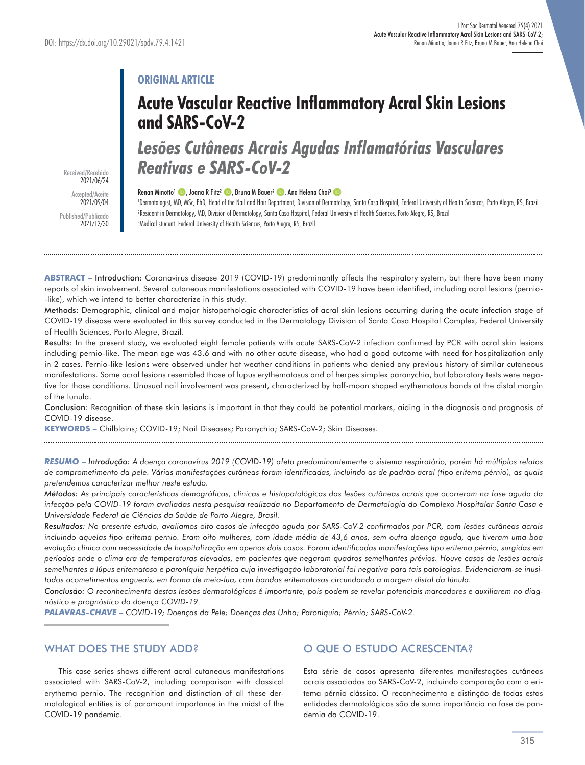# **ORIGINAL ARTICLE**

# **Acute Vascular Reactive Inflammatory Acral Skin Lesions and SARS-CoV-2**

*Lesões Cutâneas Acrais Agudas Inflamatórias Vasculares Reativas e SARS-CoV-2* 

Received/Recebido 2021/06/24 Accepted/Aceite 2021/09/04 Published/Publicado 2021/12/30

#### Renan Minotto<sup>1</sup> **D** , Joana R Fitz<sup>2</sup> **D** , Bruna M Bauer<sup>2</sup> **D** , Ana Helena Choi<sup>3</sup> **D**

'Dermatologist, MD, MSc, PhD, Head of the Nail and Hair Department, Division of Dermatology, Santa Casa Hospital, Federal University of Health Sciences, Porto Alegre, RS, Brazi ²Resident in Dermatology, MD, Division of Dermatology, Santa Casa Hospital, Federal University of Health Sciences, Porto Alegre, RS, Brazil <sup>3</sup>Medical student. Federal University of Health Sciences, Porto Alegre, RS, Brazil

ABSTRACT – Introduction: Coronavirus disease 2019 (COVID-19) predominantly affects the respiratory system, but there have been many reports of skin involvement. Several cutaneous manifestations associated with COVID-19 have been identified, including acral lesions (pernio- -like), which we intend to better characterize in this study.

Methods: Demographic, clinical and major histopathologic characteristics of acral skin lesions occurring during the acute infection stage of COVID-19 disease were evaluated in this survey conducted in the Dermatology Division of Santa Casa Hospital Complex, Federal University of Health Sciences, Porto Alegre, Brazil.

Results: In the present study, we evaluated eight female patients with acute SARS-CoV-2 infection confirmed by PCR with acral skin lesions including pernio-like. The mean age was 43.6 and with no other acute disease, who had a good outcome with need for hospitalization only in 2 cases. Pernio-like lesions were observed under hot weather conditions in patients who denied any previous history of similar cutaneous manifestations. Some acral lesions resembled those of lupus erythematosus and of herpes simplex paronychia, but laboratory tests were negative for those conditions. Unusual nail involvement was present, characterized by half-moon shaped erythematous bands at the distal margin of the lunula.

Conclusion: Recognition of these skin lesions is important in that they could be potential markers, aiding in the diagnosis and prognosis of COVID-19 disease.

**KEYWORDS –** Chilblains; COVID-19; Nail Diseases; Paronychia; SARS-CoV-2; Skin Diseases.

*RESUMO* **–** *Introdução: A doença coronavírus 2019 (COVID-19) afeta predominantemente o sistema respiratório, porém há múltiplos relatos de comprometimento da pele. Várias manifestações cutâneas foram identificadas, incluindo as de padrão acral (tipo eritema pérnio), as quais pretendemos caracterizar melhor neste estudo.*

*Métodos: As principais características demográficas, clínicas e histopatológicas das lesões cutâneas acrais que ocorreram na fase aguda da*  infecção pela COVID-19 foram avaliadas nesta pesquisa realizada no Departamento de Dermatologia do Complexo Hospitalar Santa Casa e *Universidade Federal de Ciências da Saúde de Porto Alegre, Brasil.* 

*Resultados: No presente estudo, avaliamos oito casos de infecção aguda por SARS-CoV-2 confirmados por PCR, com lesões cutâneas acrais incluindo aquelas tipo eritema pernio. Eram oito mulheres, com idade média de 43,6 anos, sem outra doença aguda, que tiveram uma boa evolução clínica com necessidade de hospitalização em apenas dois casos. Foram identificadas manifestações tipo eritema pérnio, surgidas em períodos onde o clima era de temperaturas elevadas, em pacientes que negaram quadros semelhantes prévios. Houve casos de lesões acrais semelhantes a lúpus eritematoso e paroníquia herpética cuja investigação laboratorial foi negativa para tais patologias. Evidenciaram-se inusitados acometimentos ungueais, em forma de meia-lua, com bandas eritematosas circundando a margem distal da lúnula.* 

*Conclusão: O reconhecimento destas lesões dermatológicas é importante, pois podem se revelar potenciais marcadores e auxiliarem no diagnóstico e prognóstico da doença COVID-19.*

*PALAVRAS-CHAVE* **–** *COVID-19; Doenças da Pele; Doenças das Unha; Paroniquia; Pérnio; SARS-CoV-2.*

## WHAT DOES THE STUDY ADD?

This case series shows different acral cutaneous manifestations associated with SARS-CoV-2, including comparison with classical erythema pernio. The recognition and distinction of all these dermatological entities is of paramount importance in the midst of the COVID-19 pandemic.

# O QUE O ESTUDO ACRESCENTA?

Esta série de casos apresenta diferentes manifestações cutâneas acrais associadas ao SARS-CoV-2, incluindo comparação com o eritema pérnio clássico. O reconhecimento e distinção de todas estas entidades dermatológicas são de suma importância na fase de pandemia da COVID-19.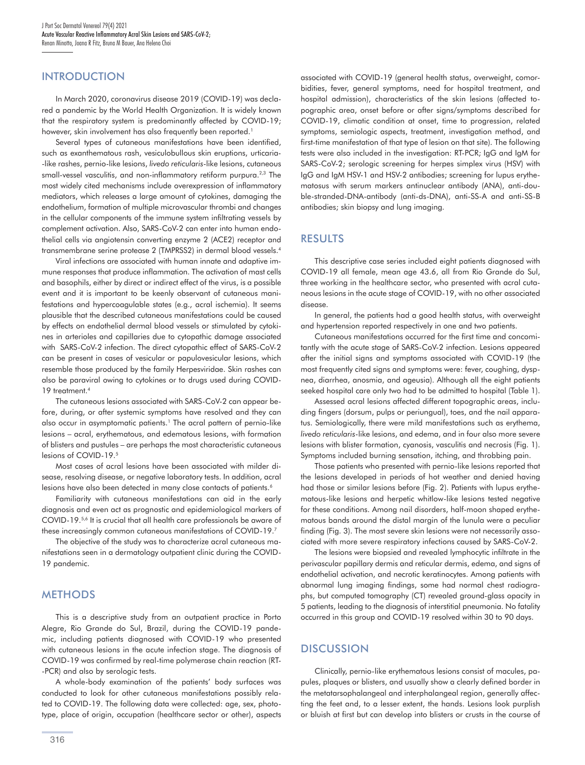## **INTRODUCTION**

In March 2020, coronavirus disease 2019 (COVID-19) was declared a pandemic by the World Health Organization. It is widely known that the respiratory system is predominantly affected by COVID-19; however, skin involvement has also frequently been reported.<sup>1</sup>

Several types of cutaneous manifestations have been identified, such as exanthematous rash, vesiculobullous skin eruptions, urticaria- -like rashes, pernio-like lesions, *livedo reticularis*-like lesions, cutaneous small-vessel vasculitis, and non-inflammatory retiform purpura.<sup>2,3</sup> The most widely cited mechanisms include overexpression of inflammatory mediators, which releases a large amount of cytokines, damaging the endothelium, formation of multiple microvascular thrombi and changes in the cellular components of the immune system infiltrating vessels by complement activation. Also, SARS-CoV-2 can enter into human endothelial cells via angiotensin converting enzyme 2 (ACE2) receptor and transmembrane serine protease 2 (TMPRSS2) in dermal blood vessels.4

Viral infections are associated with human innate and adaptive immune responses that produce inflammation. The activation of mast cells and basophils, either by direct or indirect effect of the virus, is a possible event and it is important to be keenly observant of cutaneous manifestations and hypercoagulable states (e.g., acral ischemia). It seems plausible that the described cutaneous manifestations could be caused by effects on endothelial dermal blood vessels or stimulated by cytokines in arterioles and capillaries due to cytopathic damage associated with SARS-CoV-2 infection. The direct cytopathic effect of SARS-CoV-2 can be present in cases of vesicular or papulovesicular lesions, which resemble those produced by the family Herpesviridae. Skin rashes can also be paraviral owing to cytokines or to drugs used during COVID-19 treatment.4

The cutaneous lesions associated with SARS-CoV-2 can appear before, during, or after systemic symptoms have resolved and they can also occur in asymptomatic patients.<sup>1</sup> The acral pattern of pernio-like lesions – acral, erythematous, and edematous lesions, with formation of blisters and pustules – are perhaps the most characteristic cutaneous lesions of COVID-19.5

Most cases of acral lesions have been associated with milder disease, resolving disease, or negative laboratory tests. In addition, acral lesions have also been detected in many close contacts of patients.<sup>6</sup>

Familiarity with cutaneous manifestations can aid in the early diagnosis and even act as prognostic and epidemiological markers of COVID-19.<sup>5,6</sup> It is crucial that all health care professionals be aware of these increasingly common cutaneous manifestations of COVID-19.7

The objective of the study was to characterize acral cutaneous manifestations seen in a dermatology outpatient clinic during the COVID-19 pandemic.

## **METHODS**

This is a descriptive study from an outpatient practice in Porto Alegre, Rio Grande do Sul, Brazil, during the COVID-19 pandemic, including patients diagnosed with COVID-19 who presented with cutaneous lesions in the acute infection stage. The diagnosis of COVID-19 was confirmed by real-time polymerase chain reaction (RT- -PCR) and also by serologic tests.

A whole-body examination of the patients' body surfaces was conducted to look for other cutaneous manifestations possibly related to COVID-19. The following data were collected: age, sex, phototype, place of origin, occupation (healthcare sector or other), aspects

316

associated with COVID-19 (general health status, overweight, comorbidities, fever, general symptoms, need for hospital treatment, and hospital admission), characteristics of the skin lesions (affected topographic area, onset before or after signs/symptoms described for COVID-19, climatic condition at onset, time to progression, related symptoms, semiologic aspects, treatment, investigation method, and first-time manifestation of that type of lesion on that site). The following tests were also included in the investigation: RT-PCR; IgG and IgM for SARS-CoV-2; serologic screening for herpes simplex virus (HSV) with IgG and IgM HSV-1 and HSV-2 antibodies; screening for lupus erythematosus with serum markers antinuclear antibody (ANA), anti-double-stranded-DNA-antibody (anti-ds-DNA), anti-SS-A and anti-SS-B antibodies; skin biopsy and lung imaging.

#### RESULTS

This descriptive case series included eight patients diagnosed with COVID-19 all female, mean age 43.6, all from Rio Grande do Sul, three working in the healthcare sector, who presented with acral cutaneous lesions in the acute stage of COVID-19, with no other associated disease.

In general, the patients had a good health status, with overweight and hypertension reported respectively in one and two patients.

Cutaneous manifestations occurred for the first time and concomitantly with the acute stage of SARS-CoV-2 infection. Lesions appeared after the initial signs and symptoms associated with COVID-19 (the most frequently cited signs and symptoms were: fever, coughing, dyspnea, diarrhea, anosmia, and ageusia). Although all the eight patients seeked hospital care only two had to be admitted to hospital (Table 1).

Assessed acral lesions affected different topographic areas, including fingers (dorsum, pulps or periungual), toes, and the nail apparatus. Semiologically, there were mild manifestations such as erythema, *livedo reticularis*-like lesions, and edema, and in four also more severe lesions with blister formation, cyanosis, vasculitis and necrosis (Fig. 1). Symptoms included burning sensation, itching, and throbbing pain.

Those patients who presented with pernio-like lesions reported that the lesions developed in periods of hot weather and denied having had those or similar lesions before (Fig. 2). Patients with lupus erythematous-like lesions and herpetic whitlow-like lesions tested negative for these conditions. Among nail disorders, half-moon shaped erythematous bands around the distal margin of the lunula were a peculiar finding (Fig. 3). The most severe skin lesions were not necessarily associated with more severe respiratory infections caused by SARS-CoV-2.

The lesions were biopsied and revealed lymphocytic infiltrate in the perivascular papillary dermis and reticular dermis, edema, and signs of endothelial activation, and necrotic keratinocytes. Among patients with abnormal lung imaging findings, some had normal chest radiographs, but computed tomography (CT) revealed ground-glass opacity in 5 patients, leading to the diagnosis of interstitial pneumonia. No fatality occurred in this group and COVID-19 resolved within 30 to 90 days.

### **DISCUSSION**

Clinically, pernio-like erythematous lesions consist of macules, papules, plaques or blisters, and usually show a clearly defined border in the metatarsophalangeal and interphalangeal region, generally affecting the feet and, to a lesser extent, the hands. Lesions look purplish or bluish at first but can develop into blisters or crusts in the course of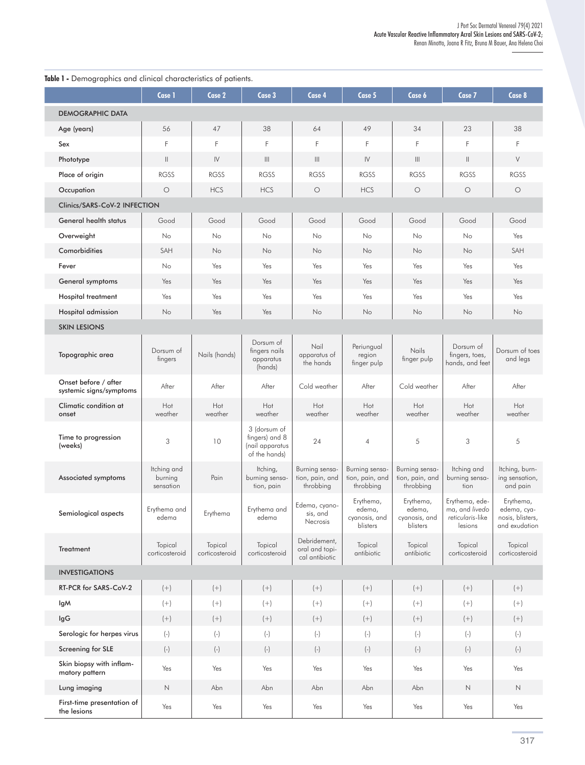| Table 1 - Demographics and clinical characteristics of patients. |                                     |                           |                                                                    |                                                  |                                                  |                                                  |                                                                   |                                                               |
|------------------------------------------------------------------|-------------------------------------|---------------------------|--------------------------------------------------------------------|--------------------------------------------------|--------------------------------------------------|--------------------------------------------------|-------------------------------------------------------------------|---------------------------------------------------------------|
|                                                                  | Case 1                              | Case 2                    | Case 3                                                             | Case 4                                           | Case 5                                           | Case 6                                           | Case 7                                                            | Case 8                                                        |
| <b>DEMOGRAPHIC DATA</b>                                          |                                     |                           |                                                                    |                                                  |                                                  |                                                  |                                                                   |                                                               |
| Age (years)                                                      | 56                                  | 47                        | 38                                                                 | 64                                               | 49                                               | 34                                               | 23                                                                | 38                                                            |
| Sex                                                              | F                                   | F                         | F                                                                  | F                                                | F                                                | F                                                | F                                                                 | F                                                             |
| Phototype                                                        | $\vert\vert$                        | $\mathsf{IV}$             | $\parallel$                                                        | $\parallel \parallel$                            | $\mathsf{IV}$                                    | $\  \ $                                          | $\vert\vert$                                                      | V                                                             |
| Place of origin                                                  | <b>RGSS</b>                         | <b>RGSS</b>               | <b>RGSS</b>                                                        | <b>RGSS</b>                                      | <b>RGSS</b>                                      | <b>RGSS</b>                                      | <b>RGSS</b>                                                       | <b>RGSS</b>                                                   |
| Occupation                                                       | $\circ$                             | <b>HCS</b>                | <b>HCS</b>                                                         | $\circ$                                          | <b>HCS</b>                                       | $\circ$                                          | $\circ$                                                           | $\circ$                                                       |
| Clinics/SARS-CoV-2 INFECTION                                     |                                     |                           |                                                                    |                                                  |                                                  |                                                  |                                                                   |                                                               |
| General health status                                            | Good                                | Good                      | Good                                                               | Good                                             | Good                                             | Good                                             | Good                                                              | Good                                                          |
| Overweight                                                       | No                                  | No                        | No                                                                 | No                                               | No                                               | No                                               | No                                                                | Yes                                                           |
| Comorbidities                                                    | SAH                                 | No                        | No                                                                 | No                                               | No                                               | No                                               | No                                                                | SAH                                                           |
| Fever                                                            | No                                  | Yes                       | Yes                                                                | Yes                                              | Yes                                              | Yes                                              | Yes                                                               | Yes                                                           |
| General symptoms                                                 | Yes                                 | Yes                       | Yes                                                                | Yes                                              | Yes                                              | Yes                                              | Yes                                                               | Yes                                                           |
| <b>Hospital treatment</b>                                        | Yes                                 | Yes                       | Yes                                                                | Yes                                              | Yes                                              | Yes                                              | Yes                                                               | Yes                                                           |
| Hospital admission                                               | N <sub>o</sub>                      | Yes                       | Yes                                                                | No                                               | No                                               | No                                               | No                                                                | No                                                            |
| <b>SKIN LESIONS</b>                                              |                                     |                           |                                                                    |                                                  |                                                  |                                                  |                                                                   |                                                               |
| Topographic area                                                 | Dorsum of<br>fingers                | Nails (hands)             | Dorsum of<br>fingers nails<br>apparatus<br>(hands)                 | Nail<br>apparatus of<br>the hands                | Periungual<br>region<br>finger pulp              | Nails<br>finger pulp                             | Dorsum of<br>fingers, toes,<br>hands, and feet                    | Dorsum of toes<br>and legs                                    |
| Onset before / after<br>systemic signs/symptoms                  | After                               | After                     | After                                                              | Cold weather                                     | After                                            | Cold weather                                     | After                                                             | After                                                         |
| Climatic condition at<br>onset                                   | Hot<br>weather                      | Hot<br>weather            | Hot<br>weather                                                     | Hot<br>weather                                   | Hot<br>weather                                   | Hot<br>weather                                   | Hot<br>weather                                                    | Hot<br>weather                                                |
| Time to progression<br>(weeks)                                   | 3                                   | 10                        | 3 (dorsum of<br>fingers) and 8<br>(nail apparatus<br>of the hands) | 24                                               | $\overline{4}$                                   | 5                                                | 3                                                                 | 5                                                             |
| Associated symptoms                                              | Itching and<br>burning<br>sensation | Pain                      | Itching,<br>burning sensa-<br>tion, pain                           | Burning sensa-<br>tion, pain, and<br>throbbing   | Burning sensa-<br>tion, pain, and<br>throbbing   | Burning sensa-<br>tion, pain, and<br>throbbing   | Itching and<br>burning sensa-<br>tion                             | Itching, burn-<br>ing sensation,<br>and pain                  |
| Semiological aspects                                             | Erythema and<br>edema               | Erythema                  | Erythema and<br>edema                                              | Edema, cyano-<br>sis, and<br>Necrosis            | Erythema,<br>edema,<br>cyanosis, and<br>blisters | Erythema,<br>edema,<br>cyanosis, and<br>blisters | Erythema, ede-<br>ma, and livedo  <br>reticularis-like<br>lesions | Erythema,<br>edema, cya-<br>nosis, blisters,<br>and exudation |
| Treatment                                                        | Topical<br>corticosteroid           | Topical<br>corticosteroid | Topical<br>corticosteroid                                          | Debridement,<br>oral and topi-<br>cal antibiotic | Topical<br>antibiotic                            | Topical<br>antibiotic                            | Topical<br>corticosteroid                                         | Topical<br>corticosteroid                                     |
| <b>INVESTIGATIONS</b>                                            |                                     |                           |                                                                    |                                                  |                                                  |                                                  |                                                                   |                                                               |
| RT-PCR for SARS-CoV-2                                            | $\left( +\right)$                   | $\left( +\right)$         | $\left( +\right)$                                                  | $\left( +\right)$                                | $\left( +\right)$                                | $\left( +\right)$                                | $(+)$                                                             | $(+)$                                                         |
| lgM                                                              | $(+)$                               | $(+)$                     | $(+)$                                                              | $\left( +\right)$                                | $(+)$                                            | $(+)$                                            | $(+)$                                                             | $(+)$                                                         |
| lgG                                                              | $(+)$                               | $\left( +\right)$         | $\left( +\right)$                                                  | $\left( +\right)$                                | $(+)$                                            | $(+)$                                            | $\left( +\right)$                                                 | $(+)$                                                         |
| Serologic for herpes virus                                       | $(-)$                               | $(\hbox{-})$              | $(\hbox{-})$                                                       | $(-)$                                            | $(-)$                                            | $(-)$                                            | $(-)$                                                             | $(-)$                                                         |
| Screening for SLE                                                | $(\hbox{-})$                        | $(\hbox{-})$              | $\left( \text{-} \right)$                                          | $(\hbox{-})$                                     | $(-)$                                            | $(-)$                                            | $(\hbox{-})$                                                      | $(-)$                                                         |
| Skin biopsy with inflam-<br>matory pattern                       | Yes                                 | Yes                       | Yes                                                                | Yes                                              | Yes                                              | Yes                                              | Yes                                                               | Yes                                                           |
| Lung imaging                                                     | $\hbox{N}$                          | Abn                       | Abn                                                                | Abn                                              | Abn                                              | Abn                                              | $\hbox{N}$                                                        | $\hbox{N}$                                                    |
| First-time presentation of<br>the lesions                        | Yes                                 | Yes                       | Yes                                                                | Yes                                              | Yes                                              | Yes                                              | Yes                                                               | $\operatorname{\mathsf{Yes}}$                                 |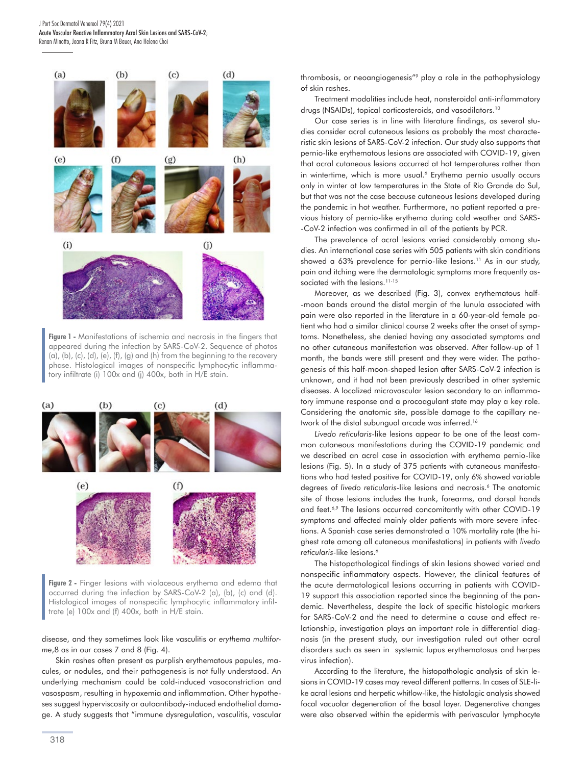J Port Soc Dermatol Venereol 79(4) 2021 Acute Vascular Reactive Inflammatory Acral Skin Lesions and SARS-CoV-2; Renan Minotto, Joana R Fitz, Bruna M Bauer, Ana Helena Choi



**Figure 1 -** Manifestations of ischemia and necrosis in the fingers that appeared during the infection by SARS-CoV-2. Sequence of photos (a), (b), (c), (d), (e), (f), (g) and (h) from the beginning to the recovery phase. Histological images of nonspecific lymphocytic inflammatory infiltrate (i) 100x and (j) 400x, both in H/E stain.



**Figure 2 -** Finger lesions with violaceous erythema and edema that occurred during the infection by SARS-CoV-2 (a), (b), (c) and (d). Histological images of nonspecific lymphocytic inflammatory infiltrate (e) 100x and (f) 400x, both in H/E stain.

disease, and they sometimes look like vasculitis or *erythema multiforme*,8 as in our cases 7 and 8 (Fig. 4).

Skin rashes often present as purplish erythematous papules, macules, or nodules, and their pathogenesis is not fully understood. An underlying mechanism could be cold-induced vasoconstriction and vasospasm, resulting in hypoxemia and inflammation. Other hypotheses suggest hyperviscosity or autoantibody-induced endothelial damage. A study suggests that "immune dysregulation, vasculitis, vascular thrombosis, or neoangiogenesis"9 play a role in the pathophysiology of skin rashes.

Treatment modalities include heat, nonsteroidal anti-inflammatory drugs (NSAIDs), topical corticosteroids, and vasodilators.<sup>10</sup>

Our case series is in line with literature findings, as several studies consider acral cutaneous lesions as probably the most characteristic skin lesions of SARS-CoV-2 infection. Our study also supports that pernio-like erythematous lesions are associated with COVID-19, given that acral cutaneous lesions occurred at hot temperatures rather than in wintertime, which is more usual.<sup>6</sup> Erythema pernio usually occurs only in winter at low temperatures in the State of Rio Grande do Sul, but that was not the case because cutaneous lesions developed during the pandemic in hot weather. Furthermore, no patient reported a previous history of pernio-like erythema during cold weather and SARS- -CoV-2 infection was confirmed in all of the patients by PCR.

The prevalence of acral lesions varied considerably among studies. An international case series with 505 patients with skin conditions showed a 63% prevalence for pernio-like lesions.<sup>11</sup> As in our study, pain and itching were the dermatologic symptoms more frequently associated with the lesions.<sup>11-15</sup>

Moreover, as we described (Fig. 3), convex erythematous half- -moon bands around the distal margin of the lunula associated with pain were also reported in the literature in a 60-year-old female patient who had a similar clinical course 2 weeks after the onset of symptoms. Nonetheless, she denied having any associated symptoms and no other cutaneous manifestation was observed. After follow-up of 1 month, the bands were still present and they were wider. The pathogenesis of this half-moon-shaped lesion after SARS-CoV-2 infection is unknown, and it had not been previously described in other systemic diseases. A localized microvascular lesion secondary to an inflammatory immune response and a procoagulant state may play a key role. Considering the anatomic site, possible damage to the capillary network of the distal subungual arcade was inferred.16

*Livedo reticularis*-like lesions appear to be one of the least common cutaneous manifestations during the COVID-19 pandemic and we described an acral case in association with erythema pernio-like lesions (Fig. 5). In a study of 375 patients with cutaneous manifestations who had tested positive for COVID-19, only 6% showed variable degrees of *livedo reticularis*-like lesions and necrosis.<sup>6</sup> The anatomic site of those lesions includes the trunk, forearms, and dorsal hands and feet.<sup>6,9</sup> The lesions occurred concomitantly with other COVID-19 symptoms and affected mainly older patients with more severe infections. A Spanish case series demonstrated a 10% mortality rate (the highest rate among all cutaneous manifestations) in patients with *livedo reticularis*-like lesions.6

The histopathological findings of skin lesions showed varied and nonspecific inflammatory aspects. However, the clinical features of the acute dermatological lesions occurring in patients with COVID-19 support this association reported since the beginning of the pandemic. Nevertheless, despite the lack of specific histologic markers for SARS-CoV-2 and the need to determine a cause and effect relationship, investigation plays an important role in differential diagnosis (in the present study, our investigation ruled out other acral disorders such as seen in systemic lupus erythematosus and herpes virus infection).

According to the literature, the histopathologic analysis of skin lesions in COVID-19 cases may reveal different patterns. In cases of SLE-like acral lesions and herpetic whitlow-like, the histologic analysis showed focal vacuolar degeneration of the basal layer. Degenerative changes were also observed within the epidermis with perivascular lymphocyte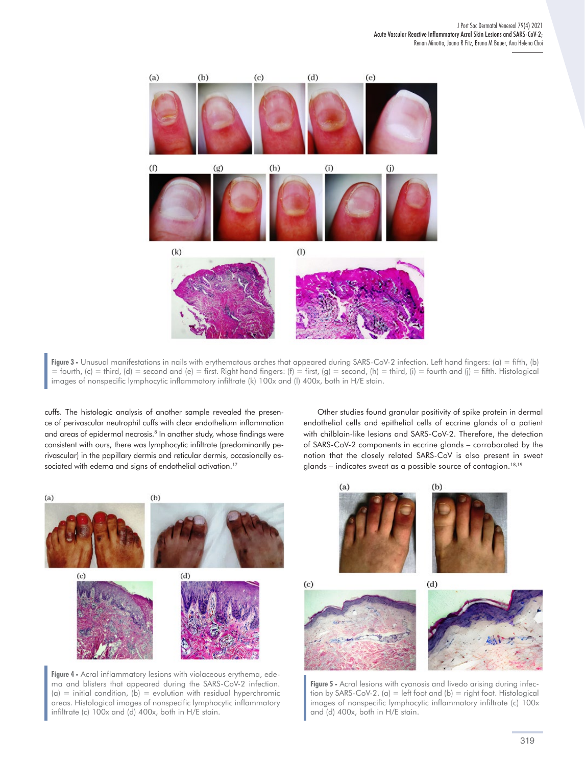

**Figure 3 -** Unusual manifestations in nails with erythematous arches that appeared during SARS-CoV-2 infection. Left hand fingers: (a) = fifth, (b) = fourth, (c) = third, (d) = second and (e) = first. Right hand fingers: (f) = first, (g) = second, (h) = third, (i) = fourth and (j) = fifth. Histological images of nonspecific lymphocytic inflammatory infiltrate (k) 100x and (l) 400x, both in H/E stain.

cuffs. The histologic analysis of another sample revealed the presence of perivascular neutrophil cuffs with clear endothelium inflammation and areas of epidermal necrosis.<sup>8</sup> In another study, whose findings were consistent with ours, there was lymphocytic infiltrate (predominantly perivascular) in the papillary dermis and reticular dermis, occasionally associated with edema and signs of endothelial activation.<sup>17</sup>

Other studies found granular positivity of spike protein in dermal endothelial cells and epithelial cells of eccrine glands of a patient with chilblain-like lesions and SARS-CoV-2. Therefore, the detection of SARS-CoV-2 components in eccrine glands – corroborated by the notion that the closely related SARS-CoV is also present in sweat glands – indicates sweat as a possible source of contagion.<sup>18,19</sup>



**Figure 4 -** Acral inflammatory lesions with violaceous erythema, edema and blisters that appeared during the SARS-CoV-2 infection.  $(a)$  = initial condition,  $(b)$  = evolution with residual hyperchromic areas. Histological images of nonspecific lymphocytic inflammatory infiltrate (c) 100x and (d) 400x, both in H/E stain.



**Figure 5 -** Acral lesions with cyanosis and livedo arising during infection by SARS-CoV-2. (a) = left foot and (b) = right foot. Histological images of nonspecific lymphocytic inflammatory infiltrate (c) 100x and (d) 400x, both in H/E stain.